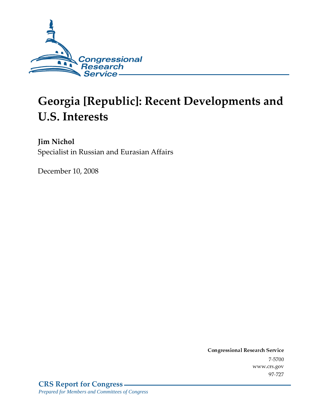

# **Georgia [Republic]: Recent Developments and U.S. Interests**

Jim Nichol Specialist in Russian and Eurasian Affairs

December 10, 2008

Conglessional Research Service  $7 - 2700$ www.crs.gov  $71 - 121$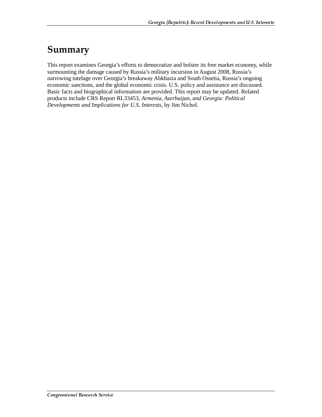## Summary

This report examines Georgia's efforts to democratize and bolster its free market economy, while surmounting the damage caused by Russia's military incursion in August 2008, Russia's narrowing tutelage over Georgia's breakaway Abkhazia and South Ossetia, Russia's ongoing economic sanctions, and the global economic crisis. U.S. policy and assistance are discussed. Basic facts and biographical information are provided. This report may be updated. Related products include CRS Report RL33453, *Armenia, Azerbaijan, and Georgia: Political Developments and Implications for U.S. Interests*, by Jim Nichol.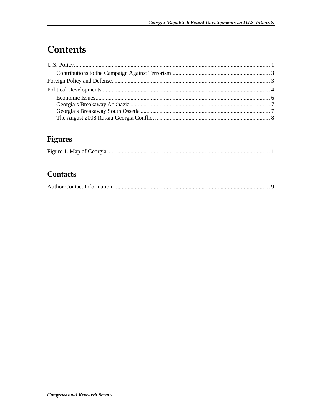## **Contents**

### Figures

### Contacts

|--|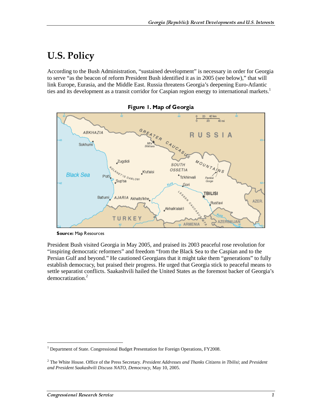### **U.S. Policy**

According to the Bush Administration, "sustained development" is necessary in order for Georgia to serve "as the beacon of reform President Bush identified it as in 2005 (see below)," that will link Europe, Eurasia, and the Middle East. Russia threatens Georgia's deepening Euro-Atlantic ties and its development as a transit corridor for Caspian region energy to international markets.<sup>1</sup>



Figure 1. Map of Georgia

President Bush visited Georgia in May 2005, and praised its 2003 peaceful rose revolution for "inspiring democratic reformers" and freedom "from the Black Sea to the Caspian and to the Persian Gulf and beyond." He cautioned Georgians that it might take them "generations" to fully establish democracy, but praised their progress. He urged that Georgia stick to peaceful means to settle separatist conflicts. Saakashvili hailed the United States as the foremost backer of Georgia's democratization.<sup>2</sup>

 $\overline{a}$ 

Source: Map Resources

<sup>&</sup>lt;sup>1</sup> Department of State. Congressional Budget Presentation for Foreign Operations, FY2008.

<sup>2</sup> The White House. Office of the Press Secretary. *President Addresses and Thanks Citizens in Tbilisi*; and *President and President Saakashvili Discuss NATO, Democracy*, May 10, 2005.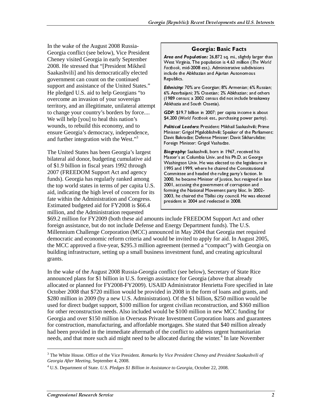In the wake of the August 2008 Russia-Georgia conflict (see below), Vice President Cheney visited Georgia in early September 2008. He stressed that "[President Mikheil Saakashvili] and his democratically elected government can count on the continued support and assistance of the United States." He pledged U.S. aid to help Georgians "to overcome an invasion of your sovereign territory, and an illegitimate, unilateral attempt to change your country's borders by force.... We will help [you] to heal this nation's wounds, to rebuild this economy, and to ensure Georgia's democracy, independence, and further integration with the West."<sup>3</sup>

The United States has been Georgia's largest bilateral aid donor, budgeting cumulative aid of \$1.9 billion in fiscal years 1992 through 2007 (FREEDOM Support Act and agency funds). Georgia has regularly ranked among the top world states in terms of per capita U.S. aid, indicating the high level of concern for its fate within the Administration and Congress. Estimated budgeted aid for FY2008 is \$66.4 million, and the Administration requested

#### Georgia: Basic Facts

Area and Population: 26,872 sq. mi., slightly larger than West Virginia. The population is 4.63 million (The World Factbook, mid-2008 est.). Administrative subdivisions include the Abkhazian and Ajarian Autonomous Republics.

Ethnicity: 70% are Georgian; 8% Armenian; 6% Russian; 6% Azerbaijani; 3% Ossetian; 2% Abkhazian; and others (1989 census; a 2002 census did not include breakaway Abkhazia and South Ossetia).

GDP: \$19.7 billion in 2007; per capita income is about \$4,200 (World Factbook est., purchasing power parity).

Political Leaders: President: Mikhail Saakashvili; Prime Minister: Grigol Mgaloblishvili; Speaker of the Parliament: Davit Bakradze; Defense Minister: Davit Sikharulidze; Foreign Minister: Grigol Vashadze.

Biography: Saakashvili, born in 1967, received his Master's at Columbia Univ. and his Ph.D. at George Washington Univ. He was elected to the legislature in 1995 and 1999, where he chaired the Constitutional Committee and headed the ruling party's faction. In 2000, he became Minister of Justice, but resigned in late 2001, accusing the government of corruption and forming the National Movement party bloc. In 2002-2003, he chaired the Tbilisi city council. He was elected president in 2004 and reelected in 2008.

\$69.2 million for FY2009 (both these aid amounts include FREEDOM Support Act and other foreign assistance, but do not include Defense and Energy Department funds). The U.S. Millennium Challenge Corporation (MCC) announced in May 2004 that Georgia met required democratic and economic reform criteria and would be invited to apply for aid. In August 2005, the MCC approved a five-year, \$295.3 million agreement (termed a "compact") with Georgia on building infrastructure, setting up a small business investment fund, and creating agricultural grants.

In the wake of the August 2008 Russia-Georgia conflict (see below), Secretary of State Rice announced plans for \$1 billion in U.S. foreign assistance for Georgia (above that already allocated or planned for FY2008-FY2009). USAID Administrator Henrietta Fore specified in late October 2008 that \$720 million would be provided in 2008 in the form of loans and grants, and \$280 million in 2009 (by a new U.S. Administration). Of the \$1 billion, \$250 million would be used for direct budget support, \$100 million for urgent civilian reconstruction, and \$360 million for other reconstruction needs. Also included would be \$100 million in new MCC funding for Georgia and over \$150 million in Overseas Private Investment Corporation loans and guarantees for construction, manufacturing, and affordable mortgages. She stated that \$40 million already had been provided in the immediate aftermath of the conflict to address urgent humanitarian needs, and that more such aid might need to be allocated during the winter.<sup>4</sup> In late November **CONTRET ANTIFY ANDEL TO THE SET ANDEL ANDEL ANDEL ANDEL ANDEL ANDEL ANDEL ANDEL DRIGH DRIGH DRIGH DRIGH DRIGH DRIGH DRIGH DRIGH DRIGH DRIGH DRIGH DRIGH DRIGH DRIGH DRIGH DRIGH DRIGH DRIGH DRIGH DRIGH TORUS BARGING TO FIGU Political Leaders:** President Mikhail Saakashvili; Prime Dinister: Crigol Mgalobishvili; Speaker of the Parliame Crigol Naphabishvili; Speaker of the Parliame Divis Bakradze; Defense Minister: Davit Sikharulidze; Dowit Ba Minister: Grigol Mgaloblishvili; Speaker of the Parliamen<br>Ninister: Grigol Mgaloblishvili; Speaker of the Parliamen<br>Davis Bakradze; Defense Minister: Davit Sikharulidze;<br>Biography: Saakashvili, born in 1967, received his<br>B Davit Bakradze; Defense Minister: Davit Sikharulidze;<br>Foreign Minister: Grigol Vashadze.<br>
Eforeign Minister: Grigol Vashadze.<br>
Eforeign Minister's at Columbia Univ, and his Ph.D. at George<br>
Washington Univ. He was elected Foreign Minister: Grigol Vashadze.<br> **Biography:** Saakashvii, born in 1967, received his<br>
Master's at Columbia Univ. and his Ph.D. at George<br>
Masshington Univ. He was elected to the legislature in<br>
1995 and 1999, where he c **Biography:** Saakashvili, born in 198<br> **Biography:** Saakashvili, born in 198<br>
Master's at Columbia Univ. and his<br>
Washington Univ. He was elected 1<br>
1995 and 1999, where he chaired t<br>
Committee and headed the ruling produc Master's at Columbia Univ. and his Ph.D. at Georg<br>
Whaster's at Columbia Univ. and his Ph.D. at Georg<br>
Washington Univ. He was elected to the legislature<br>
OP99. where he chaired the Constitution<br>
Committee and headed the r Washington Univ. He was elected to the legislature<br>
1998 and 1999, where he chaired the Constitutional<br>
Committee and headed the ruling party's faction. In<br>
2000, he became Minister of Justice, but resigned in<br>
2000, he be 1995 and 1999, where he charact the Constitutional<br>Committee and headed the ruling party's faction. In<br>2000, he became Minister of Justice, but resigned in lat<br>2001, accusing the government of corruption and<br>2001, accusing Committee and headed the ruling party's faction. In 2000, he became Minister of Justice, but resigned in 1000, accusing the government of corruption and forming the National Movement party bloc. In 2002-2003, he chaired th 2000, he became Minister of Justice, but resigned in 2001, accusing the government of corruption and forming the bational Movement party bloc. In 2002-2003, he chaired the Tbilisi city council. He was elected the Tbilisi c 2001, accusing the government of corruption and<br>
forming the National Movement party bloc. In 2002-<br>
2003, he chaired the Tblisi city council. He was elected<br>
president in 2004 and reelected in 2008.<br>
include FREEDOM Suppo forming the National Movement party bloc. In 200<br>2003, he chaired the Tbilisi city council. He was ellented in 2004 and reelected in 2008.<br>
include FREEDOM Support Act and other<br>
Energy Department funds). The U.S.<br>
Energy 2003, he chaired the Tbilisi city council. He was elected in 2004 and reelected in 2008.<br>
Include FREEDOM Support Act and other<br>
Energy Department funds). The U.S.<br>
Include FREEDOM Support Act and other<br>
Energy Department president in 2004 and reelected in 2008.<br>
include FREEDOM Support Act and other<br>
Energy Department funds). The U.S.<br>
nced in May 2004 that Georgia met required<br>
d be invited to apply for aid. In August 2005,<br>
eement (terme

<sup>3</sup> The White House. Office of the Vice President. *Remarks by Vice President Cheney and President Saakashvili of Georgia After Meeting*, September 4, 2008.

<sup>4</sup> U.S. Department of State. *U.S. Pledges \$1 Billion in Assistance to Georgia*, October 22, 2008.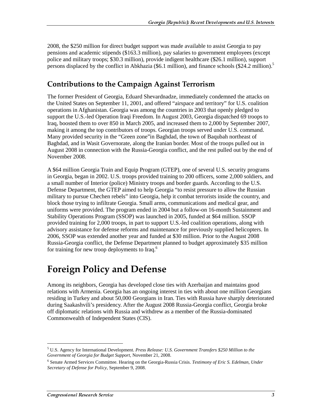2008, the \$250 million for direct budget support was made available to assist Georgia to pay pensions and academic stipends (\$163.3 million), pay salaries to government employees (except police and military troops; \$30.3 million), provide indigent healthcare (\$26.1 million), support persons displaced by the conflict in Abkhazia (\$6.1 million), and finance schools (\$24.2 million).<sup>5</sup>

#### **Contributions to the Campaign Against Terrorism**

The former President of Georgia, Eduard Shevardnadze, immediately condemned the attacks on the United States on September 11, 2001, and offered "airspace and territory" for U.S. coalition operations in Afghanistan. Georgia was among the countries in 2003 that openly pledged to support the U.S.-led Operation Iraqi Freedom. In August 2003, Georgia dispatched 69 troops to Iraq, boosted them to over 850 in March 2005, and increased them to 2,000 by September 2007, making it among the top contributors of troops. Georgian troops served under U.S. command. Many provided security in the "Green zone"in Baghdad, the town of Baqubah northeast of Baghdad, and in Wasit Governorate, along the Iranian border. Most of the troops pulled out in August 2008 in connection with the Russia-Georgia conflict, and the rest pulled out by the end of November 2008.

A \$64 million Georgia Train and Equip Program (GTEP), one of several U.S. security programs in Georgia, began in 2002. U.S. troops provided training to 200 officers, some 2,000 soldiers, and a small number of Interior (police) Ministry troops and border guards. According to the U.S. Defense Department, the GTEP aimed to help Georgia "to resist pressure to allow the Russian military to pursue Chechen rebels" into Georgia, help it combat terrorists inside the country, and block those trying to infiltrate Georgia. Small arms, communications and medical gear, and uniforms were provided. The program ended in 2004 but a follow-on 16-month Sustainment and Stability Operations Program (SSOP) was launched in 2005, funded at \$64 million. SSOP provided training for 2,000 troops, in part to support U.S.-led coalition operations, along with advisory assistance for defense reforms and maintenance for previously supplied helicopters. In 2006, SSOP was extended another year and funded at \$30 million. Prior to the August 2008 Russia-Georgia conflict, the Defense Department planned to budget approximately \$35 million for training for new troop deployments to  $\text{Iraq.}^6$ 

### **Foreign Policy and Defense**

Among its neighbors, Georgia has developed close ties with Azerbaijan and maintains good relations with Armenia. Georgia has an ongoing interest in ties with about one million Georgians residing in Turkey and about 50,000 Georgians in Iran. Ties with Russia have sharply deteriorated during Saakashvili's presidency. After the August 2008 Russia-Georgia conflict, Georgia broke off diplomatic relations with Russia and withdrew as a member of the Russia-dominated Commonwealth of Independent States (CIS).

<sup>5</sup> U.S. Agency for International Development. *Press Release: U.S. Government Transfers \$250 Million to the Government of Georgia for Budget Support,* November 21, 2008.

<sup>6</sup> Senate Armed Services Committee. Hearing on the Georgia-Russia Crisis. *Testimony of Eric S. Edelman, Under Secretary of Defense for Policy*, September 9, 2008.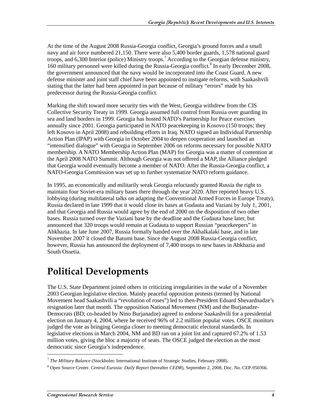At the time of the August 2008 Russia-Georgia conflict, Georgia's ground forces and a small navy and air force numbered 21,150. There were also 5,400 border guards, 1,578 national guard troops, and 6,300 Interior (police) Ministry troops.<sup>7</sup> According to the Georgian defense ministry, 160 military personnel were killed during the Russia-Georgia conflict.<sup>8</sup> In early December 2008, the government announced that the navy would be incorporated into the Coast Guard. A new defense minister and joint staff chief have been appointed to instigate reforms, with Saakashvili stating that the latter had been appointed in part because of military "errors" made by his predecessor during the Russia-Georgia conflict.

Marking the shift toward more security ties with the West, Georgia withdrew from the CIS Collective Security Treaty in 1999. Georgia assumed full control from Russia over guarding its sea and land borders in 1999. Georgia has hosted NATO's Partnership for Peace exercises annually since 2001. Georgia participated in NATO peacekeeping in Kosovo (150 troops; they left Kosovo in April 2008) and rebuilding efforts in Iraq. NATO signed an Individual Partnership Action Plan (IPAP) with Georgia in October 2004 to deepen cooperation and launched an "intensified dialogue" with Georgia in September 2006 on reforms necessary for possible NATO membership. A NATO Membership Action Plan (MAP) for Georgia was a matter of contention at the April 2008 NATO Summit. Although Georgia was not offered a MAP, the Alliance pledged that Georgia would eventually become a member of NATO. After the Russia-Georgia conflict, a NATO-Georgia Commission was set up to further systematize NATO reform guidance.

In 1995, an economically and militarily weak Georgia reluctantly granted Russia the right to maintain four Soviet-era military bases there through the year 2020. After reported heavy U.S. lobbying (during multilateral talks on adapting the Conventional Armed Forces in Europe Treaty), Russia declared in late 1999 that it would close its bases at Gudauta and Vaziani by July 1, 2001, and that Georgia and Russia would agree by the end of 2000 on the disposition of two other bases. Russia turned over the Vaziani base by the deadline and the Gudauta base later, but announced that 320 troops would remain at Gudauta to support Russian "peacekeepers" in Abkhazia. In late June 2007, Russia formally handed over the Akhalkalaki base, and in late November 2007 it closed the Batumi base. Since the August 2008 Russia-Georgia conflict, however, Russia has announced the deployment of 7,400 troops to new bases in Abkhazia and South Ossetia.

### **Political Developments**

The U.S. State Department joined others in criticizing irregularities in the wake of a November 2003 Georgian legislative election. Mainly peaceful opposition protests (termed by National Movement head Saakashvili a "revolution of roses") led to then-President Eduard Shevardnadze's resignation later that month. The opposition National Movement (NM) and the Burjanadze-Democrats (BD; co-headed by Nino Burjanadze) agreed to endorse Saakashvili for a presidential election on January 4, 2004, where he received 96% of 2.2 million popular votes. OSCE monitors judged the vote as bringing Georgia closer to meeting democratic electoral standards. In legislative elections in March 2004, NM and BD ran on a joint list and captured 67.2% of 1.53 million votes, giving the bloc a majority of seats. The OSCE judged the election as the most democratic since Georgia's independence.

<sup>7</sup> *The Military Balance* (Stockholm: International Institute of Strategic Studies, February 2008).

<sup>8</sup> Open Source Center. *Central Eurasia: Daily Report* (hereafter *CEDR*), September 2, 2008, Doc. No. CEP-950366.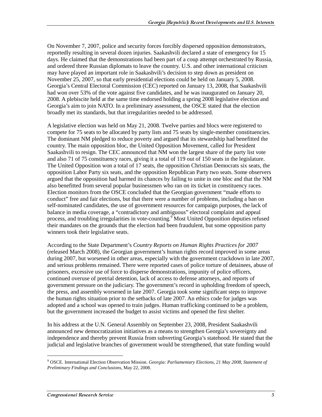On November 7, 2007, police and security forces forcibly dispersed opposition demonstrators, reportedly resulting in several dozen injuries. Saakashvili declared a state of emergency for 15 days. He claimed that the demonstrations had been part of a coup attempt orchestrated by Russia, and ordered three Russian diplomats to leave the country. U.S. and other international criticism may have played an important role in Saakashvili's decision to step down as president on November 25, 2007, so that early presidential elections could be held on January 5, 2008. Georgia's Central Electoral Commission (CEC) reported on January 13, 2008, that Saakashvili had won over 53% of the vote against five candidates, and he was inaugurated on January 20, 2008. A plebiscite held at the same time endorsed holding a spring 2008 legislative election and Georgia's aim to join NATO. In a preliminary assessment, the OSCE stated that the election broadly met its standards, but that irregularities needed to be addressed.

A legislative election was held on May 21, 2008. Twelve parties and blocs were registered to compete for 75 seats to be allocated by party lists and 75 seats by single-member constituencies. The dominant NM pledged to reduce poverty and argued that its stewardship had benefitted the country. The main opposition bloc, the United Opposition Movement, called for President Saakashvili to resign. The CEC announced that NM won the largest share of the party list vote and also 71 of 75 constituency races, giving it a total of 119 out of 150 seats in the legislature. The United Opposition won a total of 17 seats, the opposition Christian Democrats six seats, the opposition Labor Party six seats, and the opposition Republican Party two seats. Some observers argued that the opposition had harmed its chances by failing to unite in one bloc and that the NM also benefitted from several popular businessmen who ran on its ticket in constituency races. Election monitors from the OSCE concluded that the Georgian government "made efforts to conduct" free and fair elections, but that there were a number of problems, including a ban on self-nominated candidates, the use of government resources for campaign purposes, the lack of balance in media coverage, a "contradictory and ambiguous" electoral complaint and appeal process, and troubling irregularities in vote-counting.<sup>9</sup> Most United Opposition deputies refused their mandates on the grounds that the election had been fraudulent, but some opposition party winners took their legislative seats.

According to the State Department's *Country Reports on Human Rights Practices for 2007* (released March 2008), the Georgian government's human rights record improved in some areas during 2007, but worsened in other areas, especially with the government crackdown in late 2007, and serious problems remained. There were reported cases of police torture of detainees, abuse of prisoners, excessive use of force to disperse demonstrations, impunity of police officers, continued overuse of pretrial detention, lack of access to defense attorneys, and reports of government pressure on the judiciary. The government's record in upholding freedom of speech, the press, and assembly worsened in late 2007. Georgia took some significant steps to improve the human rights situation prior to the setbacks of late 2007. An ethics code for judges was adopted and a school was opened to train judges. Human trafficking continued to be a problem, but the government increased the budget to assist victims and opened the first shelter.

In his address at the U.N. General Assembly on September 23, 2008, President Saakashvili announced new democratization initiatives as a means to strengthen Georgia's sovereignty and independence and thereby prevent Russia from subverting Georgia's statehood. He stated that the judicial and legislative branches of government would be strengthened, that state funding would

<sup>9</sup> OSCE. International Election Observation Mission. *Georgia: Parliamentary Elections, 21 May 2008, Statement of Preliminary Findings and Conclusions*, May 22, 2008.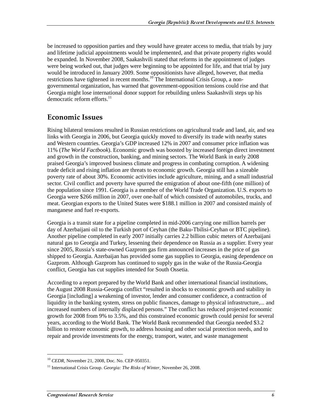be increased to opposition parties and they would have greater access to media, that trials by jury and lifetime judicial appointments would be implemented, and that private property rights would be expanded. In November 2008, Saakashvili stated that reforms in the appointment of judges were being worked out, that judges were beginning to be appointed for life, and that trial by jury would be introduced in January 2009. Some oppositionists have alleged, however, that media restrictions have tightened in recent months.<sup>10</sup>The International Crisis Group, a nongovernmental organization, has warned that government-opposition tensions could rise and that Georgia might lose international donor support for rebuilding unless Saakashvili steps up his democratic reform efforts. $^{11}$ 

#### **Economic Issues**

Rising bilateral tensions resulted in Russian restrictions on agricultural trade and land, air, and sea links with Georgia in 2006, but Georgia quickly moved to diversify its trade with nearby states and Western countries. Georgia's GDP increased 12% in 2007 and consumer price inflation was 11% (*The World Factbook*). Economic growth was boosted by increased foreign direct investment and growth in the construction, banking, and mining sectors. The World Bank in early 2008 praised Georgia's improved business climate and progress in combating corruption. A widening trade deficit and rising inflation are threats to economic growth. Georgia still has a sizeable poverty rate of about 30%. Economic activities include agriculture, mining, and a small industrial sector. Civil conflict and poverty have spurred the emigration of about one-fifth (one million) of the population since 1991. Georgia is a member of the World Trade Organization. U.S. exports to Georgia were \$266 million in 2007, over one-half of which consisted of automobiles, trucks, and meat. Georgian exports to the United States were \$188.1 million in 2007 and consisted mainly of manganese and fuel re-exports.

Georgia is a transit state for a pipeline completed in mid-2006 carrying one million barrels per day of Azerbaijani oil to the Turkish port of Ceyhan (the Baku-Tbilisi-Ceyhan or BTC pipeline). Another pipeline completed in early 2007 initially carries 2.2 billion cubic meters of Azerbaijani natural gas to Georgia and Turkey, lessening their dependence on Russia as a supplier. Every year since 2005, Russia's state-owned Gazprom gas firm announced increases in the price of gas shipped to Georgia. Azerbaijan has provided some gas supplies to Georgia, easing dependence on Gazprom. Although Gazprom has continued to supply gas in the wake of the Russia-Georgia conflict, Georgia has cut supplies intended for South Ossetia.

According to a report prepared by the World Bank and other international financial institutions, the August 2008 Russia-Georgia conflict "resulted in shocks to economic growth and stability in Georgia [including] a weakening of investor, lender and consumer confidence, a contraction of liquidity in the banking system, stress on public finances, damage to physical infrastructure,... and increased numbers of internally displaced persons." The conflict has reduced projected economic growth for 2008 from 9% to 3.5%, and this constrained economic growth could persist for several years, according to the World Bank. The World Bank recommended that Georgia needed \$3.2 billion to restore economic growth, to address housing and other social protection needs, and to repair and provide investments for the energy, transport, water, and waste management

<sup>10</sup> *CEDR*, November 21, 2008, Doc. No. CEP-950351.

<sup>&</sup>lt;sup>11</sup> International Crisis Group. *Georgia: The Risks of Winter*, November 26, 2008.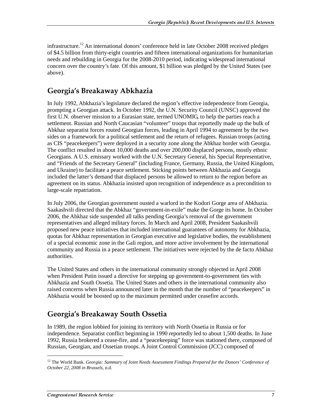infrastructure.<sup>12</sup> An international donors' conference held in late October 2008 received pledges of \$4.5 billion from thirty-eight countries and fifteen international organizations for humanitarian needs and rebuilding in Georgia for the 2008-2010 period, indicating widespread international concern over the country's fate. Of this amount, \$1 billion was pledged by the United States (see above).

#### Georgia's Breakaway Abkhazia

In July 1992, Abkhazia's legislature declared the region's effective independence from Georgia, prompting a Georgian attack. In October 1992, the U.N. Security Council (UNSC) approved the first U.N. observer mission to a Eurasian state, termed UNOMIG, to help the parties reach a settlement. Russian and North Caucasian "volunteer" troops that reportedly made up the bulk of Abkhaz separatist forces routed Georgian forces, leading in April 1994 to agreement by the two sides on a framework for a political settlement and the return of refugees. Russian troops (acting as CIS "peacekeepers") were deployed in a security zone along the Abkhaz border with Georgia. The conflict resulted in about 10,000 deaths and over 200,000 displaced persons, mostly ethnic Georgians. A U.S. emissary worked with the U.N. Secretary General, his Special Representative, and "Friends of the Secretary General" (including France, Germany, Russia, the United Kingdom, and Ukraine) to facilitate a peace settlement. Sticking points between Abkhazia and Georgia included the latter's demand that displaced persons be allowed to return to the region before an agreement on its status. Abkhazia insisted upon recognition of independence as a precondition to large-scale repatriation.

In July 2006, the Georgian government ousted a warlord in the Kodori Gorge area of Abkhazia. Saakashvili directed that the Abkhaz "government-in-exile" make the Gorge its home. In October 2006, the Abkhaz side suspended all talks pending Georgia's removal of the government representatives and alleged military forces. In March and April 2008, President Saakashvili proposed new peace initiatives that included international guarantees of autonomy for Abkhazia, quotas for Abkhaz representation in Georgian executive and legislative bodies, the establishment of a special economic zone in the Gali region, and more active involvement by the international community and Russia in a peace settlement. The initiatives were rejected by the de facto Abkhaz authorities.

The United States and others in the international community strongly objected in April 2008 when President Putin issued a directive for stepping up government-to-government ties with Abkhazia and South Ossetia. The United States and others in the international community also raised concerns when Russia announced later in the month that the number of "peacekeepers" in Abkhazia would be boosted up to the maximum permitted under ceasefire accords.

### Georgia's Breakaway South Ossetia

In 1989, the region lobbied for joining its territory with North Ossetia in Russia or for independence. Separatist conflict beginning in 1990 reportedly led to about 1,500 deaths. In June 1992, Russia brokered a cease-fire, and a "peacekeeping" force was stationed there, composed of Russian, Georgian, and Ossetian troops. A Joint Control Commission (JCC) composed of

<sup>&</sup>lt;sup>12</sup> The World Bank. *Georgia: Summary of Joint Needs Assessment Findings Prepared for the Donors' Conference of October 22, 2008 in Brussels*, n.d.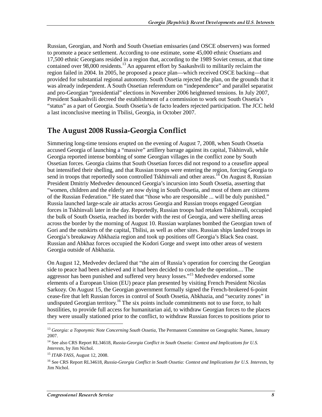Russian, Georgian, and North and South Ossetian emissaries (and OSCE observers) was formed to promote a peace settlement. According to one estimate, some 45,000 ethnic Ossetians and 17,500 ethnic Georgians resided in a region that, according to the 1989 Soviet census, at that time contained over 98,000 residents.<sup>13</sup> An apparent effort by Saakashvili to militarily reclaim the region failed in 2004. In 2005, he proposed a peace plan—which received OSCE backing—that provided for substantial regional autonomy. South Ossetia rejected the plan, on the grounds that it was already independent. A South Ossetian referendum on "independence" and parallel separatist and pro-Georgian "presidential" elections in November 2006 heightened tensions. In July 2007, President Saakashvili decreed the establishment of a commission to work out South Ossetia's "status" as a part of Georgia. South Ossetia's de facto leaders rejected participation. The JCC held a last inconclusive meeting in Tbilisi, Georgia, in October 2007.

#### The August 2008 Russia-Georgia Conflict

Simmering long-time tensions erupted on the evening of August 7, 2008, when South Ossetia accused Georgia of launching a "massive" artillery barrage against its capital, Tskhinvali, while Georgia reported intense bombing of some Georgian villages in the conflict zone by South Ossetian forces. Georgia claims that South Ossetian forces did not respond to a ceasefire appeal but intensified their shelling, and that Russian troops were entering the region, forcing Georgia to send in troops that reportedly soon controlled Tskhinvali and other areas.<sup>14</sup> On August 8, Russian President Dmitriy Medvedev denounced Georgia's incursion into South Ossetia, asserting that "women, children and the elderly are now dying in South Ossetia, and most of them are citizens of the Russian Federation." He stated that "those who are responsible ... will be duly punished." Russia launched large-scale air attacks across Georgia and Russian troops engaged Georgian forces in Tskhinvali later in the day. Reportedly, Russian troops had retaken Tskhinvali, occupied the bulk of South Ossetia, reached its border with the rest of Georgia, and were shelling areas across the border by the morning of August 10. Russian warplanes bombed the Georgian town of Gori and the outskirts of the capital, Tbilisi, as well as other sites. Russian ships landed troops in Georgia's breakaway Abkhazia region and took up positions off Georgia's Black Sea coast. Russian and Abkhaz forces occupied the Kodori Gorge and swept into other areas of western Georgia outside of Abkhazia.

On August 12, Medvedev declared that "the aim of Russia's operation for coercing the Georgian side to peace had been achieved and it had been decided to conclude the operation.... The aggressor has been punished and suffered very heavy losses."<sup>15</sup> Medvedev endorsed some elements of a European Union (EU) peace plan presented by visiting French President Nicolas Sarkozy. On August 15, the Georgian government formally signed the French-brokered 6-point cease-fire that left Russian forces in control of South Ossetia, Abkhazia, and "security zones" in undisputed Georgian territory.<sup>16</sup> The six points include commitments not to use force, to halt hostilities, to provide full access for humanitarian aid, to withdraw Georgian forces to the places they were usually stationed prior to the conflict, to withdraw Russian forces to positions prior to

<sup>13</sup> *Georgia: a Toponymic Note Concerning South Ossetia*, The Permanent Committee on Geographic Names, January 2007.

<sup>&</sup>lt;sup>14</sup> See also CRS Report RL34618, *Russia-Georgia Conflict in South Ossetia: Context and Implications for U.S. Interests*, by Jim Nichol.

<sup>15</sup> *ITAR-TASS*, August 12, 2008.

<sup>16</sup> See CRS Report RL34618, *Russia-Georgia Conflict in South Ossetia: Context and Implications for U.S. Interests*, by Jim Nichol.